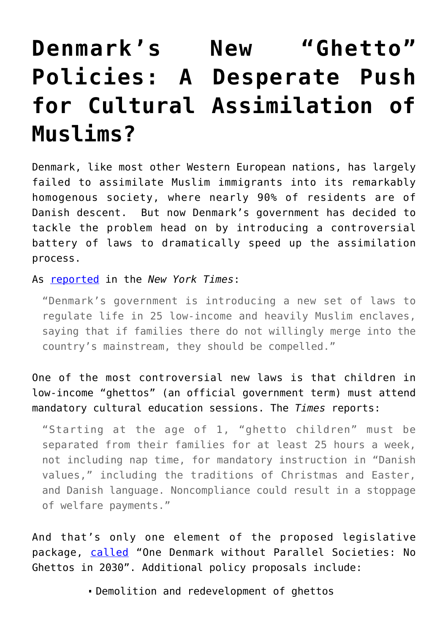## **[Denmark's New "Ghetto"](https://intellectualtakeout.org/2018/07/denmarks-new-ghetto-policies-a-desperate-push-for-cultural-assimilation-of-muslims/) [Policies: A Desperate Push](https://intellectualtakeout.org/2018/07/denmarks-new-ghetto-policies-a-desperate-push-for-cultural-assimilation-of-muslims/) [for Cultural Assimilation of](https://intellectualtakeout.org/2018/07/denmarks-new-ghetto-policies-a-desperate-push-for-cultural-assimilation-of-muslims/) [Muslims?](https://intellectualtakeout.org/2018/07/denmarks-new-ghetto-policies-a-desperate-push-for-cultural-assimilation-of-muslims/)**

Denmark, like most other Western European nations, has largely failed to assimilate Muslim immigrants into its remarkably homogenous society, where nearly 90% of residents are of Danish descent. But now Denmark's government has decided to tackle the problem head on by introducing a controversial battery of laws to dramatically speed up the assimilation process.

As [reported](https://www.nytimes.com/2018/07/01/world/europe/denmark-immigrant-ghettos.html?smid=tw-nytimes&smtyp=cur) in the *New York Times*:

"Denmark's government is introducing a new set of laws to regulate life in 25 low-income and heavily Muslim enclaves, saying that if families there do not willingly merge into the country's mainstream, they should be compelled."

One of the most controversial new laws is that children in low-income "ghettos" (an official government term) must attend mandatory cultural education sessions. The *Times* reports:

"Starting at the age of 1, "ghetto children" must be separated from their families for at least 25 hours a week, not including nap time, for mandatory instruction in "Danish values," including the traditions of Christmas and Easter, and Danish language. Noncompliance could result in a stoppage of welfare payments."

And that's only one element of the proposed legislative package, [called](https://www.regeringen.dk/nyheder/ghettoudspil/) "One Denmark without Parallel Societies: No Ghettos in 2030". Additional policy proposals include:

Demolition and redevelopment of ghettos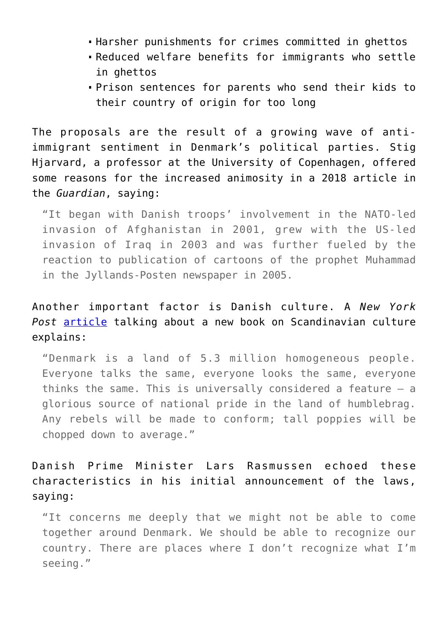- Harsher punishments for crimes committed in ghettos
- Reduced welfare benefits for immigrants who settle in ghettos
- Prison sentences for parents who send their kids to their country of origin for too long

The proposals are the result of a growing wave of antiimmigrant sentiment in Denmark's political parties. Stig Hjarvard, a professor at the University of Copenhagen, offered some reasons for the increased animosity in a 2018 article in the *Guardian*, saying:

"It began with Danish troops' involvement in the NATO-led invasion of Afghanistan in 2001, grew with the US-led invasion of Iraq in 2003 and was further fueled by the reaction to publication of cartoons of the prophet Muhammad in the Jyllands-Posten newspaper in 2005.

## Another important factor is Danish culture. A *New York Post* [article](https://nypost.com/2015/01/11/sorry-liberals-scandinavian-countries-arent-utopias/) talking about a new book on Scandinavian culture explains:

"Denmark is a land of 5.3 million homogeneous people. Everyone talks the same, everyone looks the same, everyone thinks the same. This is universally considered a feature — a glorious source of national pride in the land of humblebrag. Any rebels will be made to conform; tall poppies will be chopped down to average."

## Danish Prime Minister Lars Rasmussen echoed these characteristics in his initial announcement of the laws, saying:

"It concerns me deeply that we might not be able to come together around Denmark. We should be able to recognize our country. There are places where I don't recognize what I'm seeing."